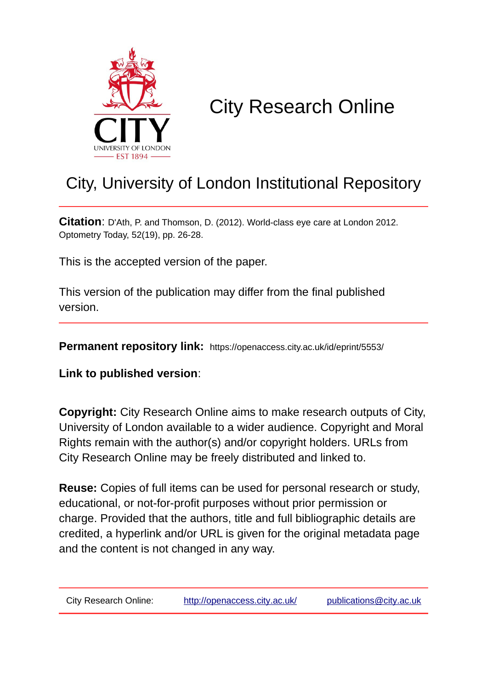

# City Research Online

# City, University of London Institutional Repository

**Citation**: D'Ath, P. and Thomson, D. (2012). World-class eye care at London 2012. Optometry Today, 52(19), pp. 26-28.

This is the accepted version of the paper.

This version of the publication may differ from the final published version.

**Permanent repository link:** https://openaccess.city.ac.uk/id/eprint/5553/

**Link to published version**:

**Copyright:** City Research Online aims to make research outputs of City, University of London available to a wider audience. Copyright and Moral Rights remain with the author(s) and/or copyright holders. URLs from City Research Online may be freely distributed and linked to.

**Reuse:** Copies of full items can be used for personal research or study, educational, or not-for-profit purposes without prior permission or charge. Provided that the authors, title and full bibliographic details are credited, a hyperlink and/or URL is given for the original metadata page and the content is not changed in any way.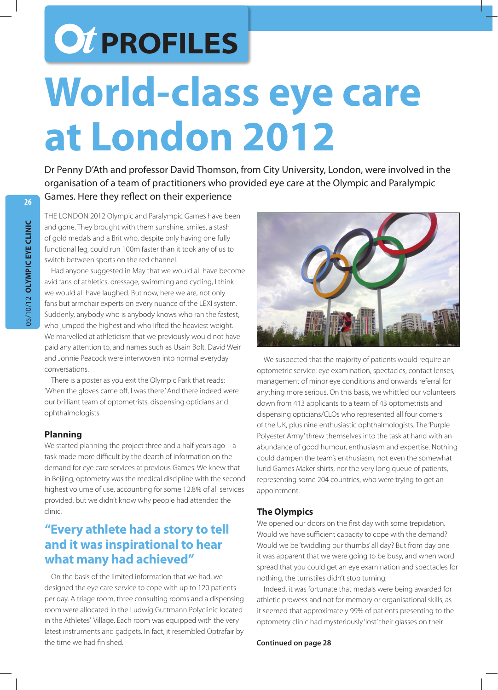# *OT PROFILES* **26World-class eye care at London 2012**

Dr Penny D'Ath and professor David Thomson, from City University, London, were involved in the organisation of a team of practitioners who provided eye care at the Olympic and Paralympic Games. Here they reflect on their experience

THE LONDON 2012 Olympic and Paralympic Games have been and gone. They brought with them sunshine, smiles, a stash of gold medals and a Brit who, despite only having one fully functional leg, could run 100m faster than it took any of us to switch between sports on the red channel.

Had anyone suggested in May that we would all have become avid fans of athletics, dressage, swimming and cycling, I think we would all have laughed. But now, here we are, not only fans but armchair experts on every nuance of the LEXI system. Suddenly, anybody who is anybody knows who ran the fastest, who jumped the highest and who lifted the heaviest weight. We marvelled at athleticism that we previously would not have paid any attention to, and names such as Usain Bolt, David Weir and Jonnie Peacock were interwoven into normal everyday conversations.

There is a poster as you exit the Olympic Park that reads: 'When the gloves came off, I was there.' And there indeed were our brilliant team of optometrists, dispensing opticians and ophthalmologists.

### **Planning**

We started planning the project three and a half years ago - a task made more difficult by the dearth of information on the demand for eye care services at previous Games. We knew that in Beijing, optometry was the medical discipline with the second highest volume of use, accounting for some 12.8% of all services provided, but we didn't know why people had attended the clinic.

## **"Every athlete had a story to tell and it was inspirational to hear what many had achieved"**

On the basis of the limited information that we had, we designed the eye care service to cope with up to 120 patients per day. A triage room, three consulting rooms and a dispensing room were allocated in the Ludwig Guttmann Polyclinic located in the Athletes' Village. Each room was equipped with the very latest instruments and gadgets. In fact, it resembled Optrafair by the time we had finished.



We suspected that the majority of patients would require an optometric service: eye examination, spectacles, contact lenses, management of minor eye conditions and onwards referral for anything more serious. On this basis, we whittled our volunteers down from 413 applicants to a team of 43 optometrists and dispensing opticians/CLOs who represented all four corners of the UK, plus nine enthusiastic ophthalmologists. The 'Purple Polyester Army' threw themselves into the task at hand with an abundance of good humour, enthusiasm and expertise. Nothing could dampen the team's enthusiasm, not even the somewhat lurid Games Maker shirts, nor the very long queue of patients, representing some 204 countries, who were trying to get an appointment.

### **The Olympics**

We opened our doors on the first day with some trepidation. Would we have sufficient capacity to cope with the demand? Would we be 'twiddling our thumbs' all day? But from day one it was apparent that we were going to be busy, and when word spread that you could get an eye examination and spectacles for nothing, the turnstiles didn't stop turning.

Indeed, it was fortunate that medals were being awarded for athletic prowess and not for memory or organisational skills, as it seemed that approximately 99% of patients presenting to the optometry clinic had mysteriously 'lost' their glasses on their

**Continued on page 28**

**28**